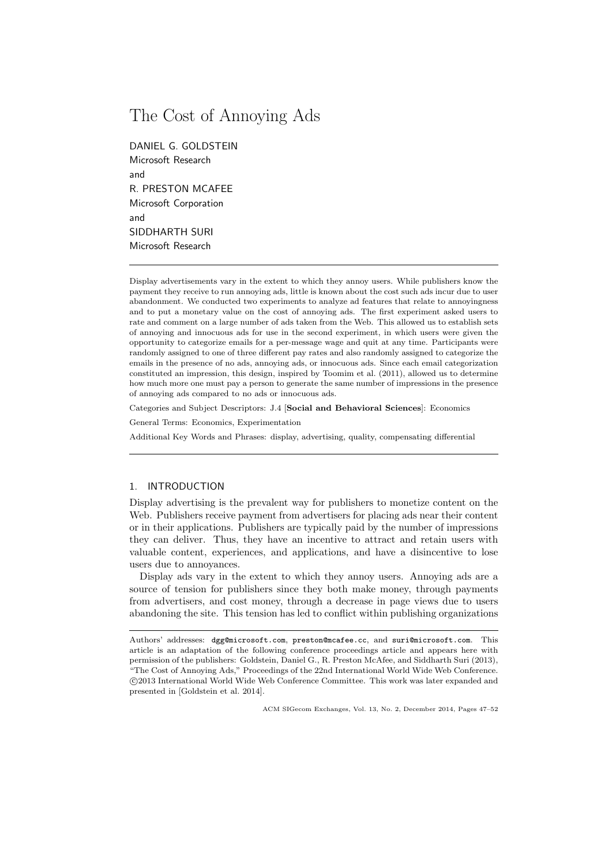# The Cost of Annoying Ads

DANIEL G. GOLDSTEIN Microsoft Research and R. PRESTON MCAFEE Microsoft Corporation and SIDDHARTH SURI Microsoft Research

Display advertisements vary in the extent to which they annoy users. While publishers know the payment they receive to run annoying ads, little is known about the cost such ads incur due to user abandonment. We conducted two experiments to analyze ad features that relate to annoyingness and to put a monetary value on the cost of annoying ads. The first experiment asked users to rate and comment on a large number of ads taken from the Web. This allowed us to establish sets of annoying and innocuous ads for use in the second experiment, in which users were given the opportunity to categorize emails for a per-message wage and quit at any time. Participants were randomly assigned to one of three different pay rates and also randomly assigned to categorize the emails in the presence of no ads, annoying ads, or innocuous ads. Since each email categorization constituted an impression, this design, inspired by Toomim et al. (2011), allowed us to determine how much more one must pay a person to generate the same number of impressions in the presence of annoying ads compared to no ads or innocuous ads.

Categories and Subject Descriptors: J.4 [Social and Behavioral Sciences]: Economics

General Terms: Economics, Experimentation

Additional Key Words and Phrases: display, advertising, quality, compensating differential

# 1. INTRODUCTION

Display advertising is the prevalent way for publishers to monetize content on the Web. Publishers receive payment from advertisers for placing ads near their content or in their applications. Publishers are typically paid by the number of impressions they can deliver. Thus, they have an incentive to attract and retain users with valuable content, experiences, and applications, and have a disincentive to lose users due to annoyances.

Display ads vary in the extent to which they annoy users. Annoying ads are a source of tension for publishers since they both make money, through payments from advertisers, and cost money, through a decrease in page views due to users abandoning the site. This tension has led to conflict within publishing organizations

Authors' addresses: dgg@microsoft.com, preston@mcafee.cc, and suri@microsoft.com. This article is an adaptation of the following conference proceedings article and appears here with permission of the publishers: Goldstein, Daniel G., R. Preston McAfee, and Siddharth Suri (2013), "The Cost of Annoying Ads," Proceedings of the 22nd International World Wide Web Conference. c 2013 International World Wide Web Conference Committee. This work was later expanded and presented in [Goldstein et al. 2014].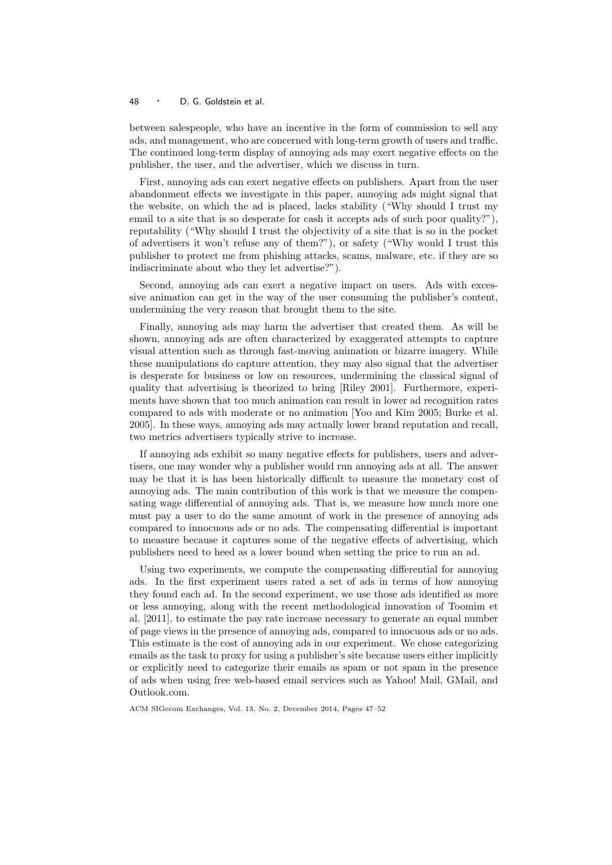## <sup>48</sup> · D. G. Goldstein et al.

between salespeople, who have an incentive in the form of commission to sell any ads, and management, who are concerned with long-term growth of users and traffic. The continued long-term display of annoying ads may exert negative effects on the publisher, the user, and the advertiser, which we discuss in turn.

First, annoying ads can exert negative effects on publishers. Apart from the user abandonment effects we investigate in this paper, annoying ads might signal that the website, on which the ad is placed, lacks stability ("Why should I trust my email to a site that is so desperate for cash it accepts ads of such poor quality?"), reputability ("Why should I trust the objectivity of a site that is so in the pocket of advertisers it won't refuse any of them?"), or safety ("Why would I trust this publisher to protect me from phishing attacks, scams, malware, etc. if they are so indiscriminate about who they let advertise?").

Second, annoying ads can exert a negative impact on users. Ads with excessive animation can get in the way of the user consuming the publisher's content, undermining the very reason that brought them to the site.

Finally, annoying ads may harm the advertiser that created them. As will be shown, annoying ads are often characterized by exaggerated attempts to capture visual attention such as through fast-moving animation or bizarre imagery. While these manipulations do capture attention, they may also signal that the advertiser is desperate for business or low on resources, undermining the classical signal of quality that advertising is theorized to bring [Riley 2001]. Furthermore, experiments have shown that too much animation can result in lower ad recognition rates compared to ads with moderate or no animation [Yoo and Kim 2005; Burke et al. 2005]. In these ways, annoying ads may actually lower brand reputation and recall, two metrics advertisers typically strive to increase.

If annoying ads exhibit so many negative effects for publishers, users and advertisers, one may wonder why a publisher would run annoying ads at all. The answer may be that it is has been historically difficult to measure the monetary cost of annoying ads. The main contribution of this work is that we measure the compensating wage differential of annoying ads. That is, we measure how much more one must pay a user to do the same amount of work in the presence of annoying ads compared to innocuous ads or no ads. The compensating differential is important to measure because it captures some of the negative effects of advertising, which publishers need to heed as a lower bound when setting the price to run an ad.

Using two experiments, we compute the compensating differential for annoying ads. In the first experiment users rated a set of ads in terms of how annoying they found each ad. In the second experiment, we use those ads identified as more or less annoying, along with the recent methodological innovation of Toomim et al. [2011], to estimate the pay rate increase necessary to generate an equal number of page views in the presence of annoying ads, compared to innocuous ads or no ads. This estimate is the cost of annoying ads in our experiment. We chose categorizing emails as the task to proxy for using a publisher's site because users either implicitly or explicitly need to categorize their emails as spam or not spam in the presence of ads when using free web-based email services such as Yahoo! Mail, GMail, and Outlook.com.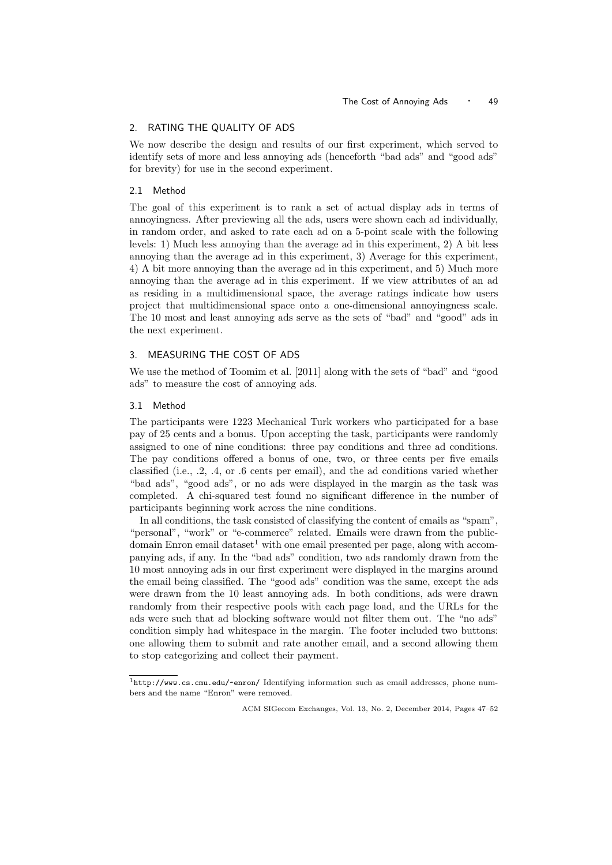# 2. RATING THE QUALITY OF ADS

We now describe the design and results of our first experiment, which served to identify sets of more and less annoying ads (henceforth "bad ads" and "good ads" for brevity) for use in the second experiment.

## 2.1 Method

The goal of this experiment is to rank a set of actual display ads in terms of annoyingness. After previewing all the ads, users were shown each ad individually, in random order, and asked to rate each ad on a 5-point scale with the following levels: 1) Much less annoying than the average ad in this experiment, 2) A bit less annoying than the average ad in this experiment, 3) Average for this experiment, 4) A bit more annoying than the average ad in this experiment, and 5) Much more annoying than the average ad in this experiment. If we view attributes of an ad as residing in a multidimensional space, the average ratings indicate how users project that multidimensional space onto a one-dimensional annoyingness scale. The 10 most and least annoying ads serve as the sets of "bad" and "good" ads in the next experiment.

# 3. MEASURING THE COST OF ADS

We use the method of Toomim et al. [2011] along with the sets of "bad" and "good ads" to measure the cost of annoying ads.

#### 3.1 Method

The participants were 1223 Mechanical Turk workers who participated for a base pay of 25 cents and a bonus. Upon accepting the task, participants were randomly assigned to one of nine conditions: three pay conditions and three ad conditions. The pay conditions offered a bonus of one, two, or three cents per five emails classified (i.e., .2, .4, or .6 cents per email), and the ad conditions varied whether "bad ads", "good ads", or no ads were displayed in the margin as the task was completed. A chi-squared test found no significant difference in the number of participants beginning work across the nine conditions.

In all conditions, the task consisted of classifying the content of emails as "spam", "personal", "work" or "e-commerce" related. Emails were drawn from the publicdomain Enron email dataset<sup>1</sup> with one email presented per page, along with accompanying ads, if any. In the "bad ads" condition, two ads randomly drawn from the 10 most annoying ads in our first experiment were displayed in the margins around the email being classified. The "good ads" condition was the same, except the ads were drawn from the 10 least annoying ads. In both conditions, ads were drawn randomly from their respective pools with each page load, and the URLs for the ads were such that ad blocking software would not filter them out. The "no ads" condition simply had whitespace in the margin. The footer included two buttons: one allowing them to submit and rate another email, and a second allowing them to stop categorizing and collect their payment.

<sup>1</sup>http://www.cs.cmu.edu/~enron/ Identifying information such as email addresses, phone numbers and the name "Enron" were removed.

ACM SIGecom Exchanges, Vol. 13, No. 2, December 2014, Pages 47–52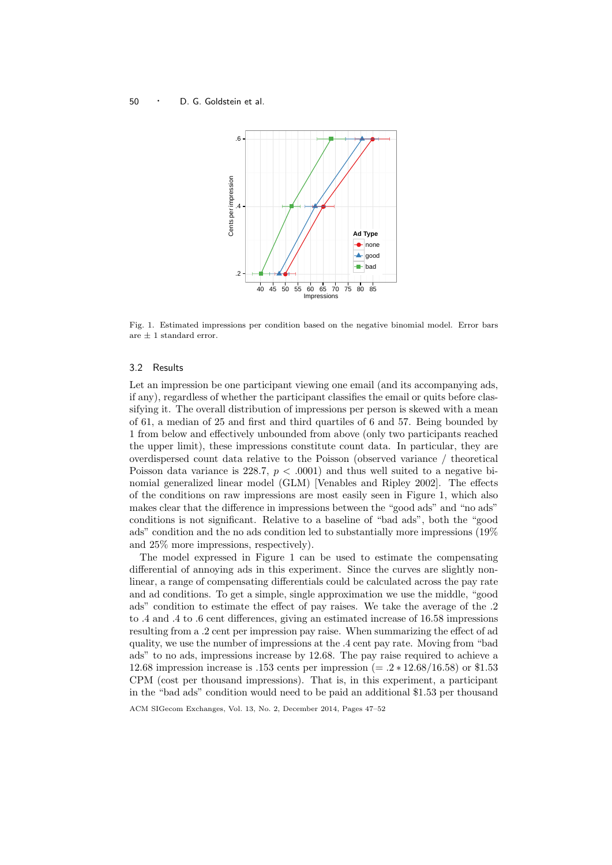## <sup>50</sup> · D. G. Goldstein et al.



Fig. 1. Estimated impressions per condition based on the negative binomial model. Error bars are  $\pm$  1 standard error.

## 3.2 Results

Let an impression be one participant viewing one email (and its accompanying ads, if any), regardless of whether the participant classifies the email or quits before classifying it. The overall distribution of impressions per person is skewed with a mean of 61, a median of 25 and first and third quartiles of 6 and 57. Being bounded by 1 from below and effectively unbounded from above (only two participants reached the upper limit), these impressions constitute count data. In particular, they are overdispersed count data relative to the Poisson (observed variance / theoretical Poisson data variance is 228.7,  $p < .0001$  and thus well suited to a negative binomial generalized linear model (GLM) [Venables and Ripley 2002]. The effects of the conditions on raw impressions are most easily seen in Figure 1, which also makes clear that the difference in impressions between the "good ads" and "no ads" conditions is not significant. Relative to a baseline of "bad ads", both the "good ads" condition and the no ads condition led to substantially more impressions (19% and 25% more impressions, respectively).

The model expressed in Figure 1 can be used to estimate the compensating differential of annoying ads in this experiment. Since the curves are slightly nonlinear, a range of compensating differentials could be calculated across the pay rate and ad conditions. To get a simple, single approximation we use the middle, "good ads" condition to estimate the effect of pay raises. We take the average of the .2 to .4 and .4 to .6 cent differences, giving an estimated increase of 16.58 impressions resulting from a .2 cent per impression pay raise. When summarizing the effect of ad quality, we use the number of impressions at the .4 cent pay rate. Moving from "bad ads" to no ads, impressions increase by 12.68. The pay raise required to achieve a 12.68 impression increase is .153 cents per impression (= .2 ∗ 12.68/16.58) or \$1.53 CPM (cost per thousand impressions). That is, in this experiment, a participant in the "bad ads" condition would need to be paid an additional \$1.53 per thousand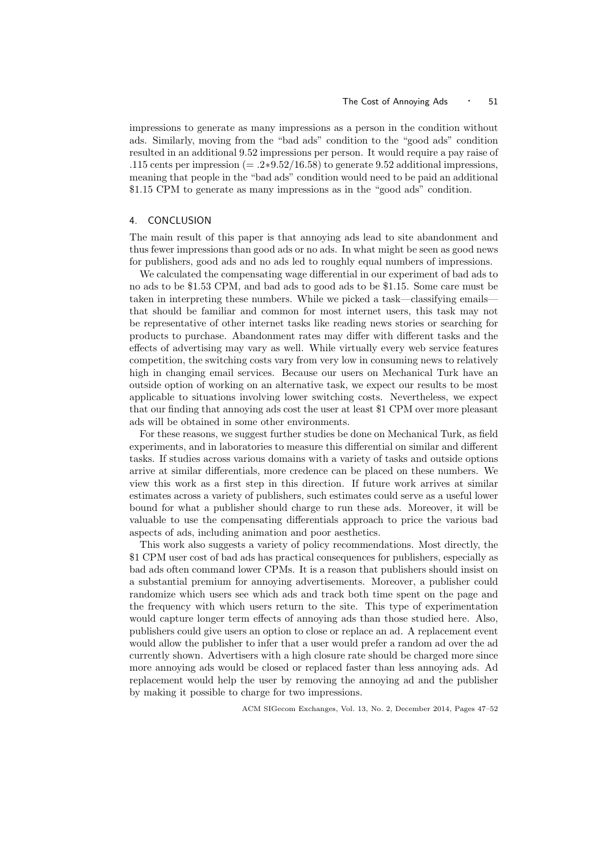impressions to generate as many impressions as a person in the condition without ads. Similarly, moving from the "bad ads" condition to the "good ads" condition resulted in an additional 9.52 impressions per person. It would require a pay raise of .115 cents per impression (= .2 $*9.52/16.58$ ) to generate 9.52 additional impressions, meaning that people in the "bad ads" condition would need to be paid an additional \$1.15 CPM to generate as many impressions as in the "good ads" condition.

# 4. CONCLUSION

The main result of this paper is that annoying ads lead to site abandonment and thus fewer impressions than good ads or no ads. In what might be seen as good news for publishers, good ads and no ads led to roughly equal numbers of impressions.

We calculated the compensating wage differential in our experiment of bad ads to no ads to be \$1.53 CPM, and bad ads to good ads to be \$1.15. Some care must be taken in interpreting these numbers. While we picked a task—classifying emails that should be familiar and common for most internet users, this task may not be representative of other internet tasks like reading news stories or searching for products to purchase. Abandonment rates may differ with different tasks and the effects of advertising may vary as well. While virtually every web service features competition, the switching costs vary from very low in consuming news to relatively high in changing email services. Because our users on Mechanical Turk have an outside option of working on an alternative task, we expect our results to be most applicable to situations involving lower switching costs. Nevertheless, we expect that our finding that annoying ads cost the user at least \$1 CPM over more pleasant ads will be obtained in some other environments.

For these reasons, we suggest further studies be done on Mechanical Turk, as field experiments, and in laboratories to measure this differential on similar and different tasks. If studies across various domains with a variety of tasks and outside options arrive at similar differentials, more credence can be placed on these numbers. We view this work as a first step in this direction. If future work arrives at similar estimates across a variety of publishers, such estimates could serve as a useful lower bound for what a publisher should charge to run these ads. Moreover, it will be valuable to use the compensating differentials approach to price the various bad aspects of ads, including animation and poor aesthetics.

This work also suggests a variety of policy recommendations. Most directly, the \$1 CPM user cost of bad ads has practical consequences for publishers, especially as bad ads often command lower CPMs. It is a reason that publishers should insist on a substantial premium for annoying advertisements. Moreover, a publisher could randomize which users see which ads and track both time spent on the page and the frequency with which users return to the site. This type of experimentation would capture longer term effects of annoying ads than those studied here. Also, publishers could give users an option to close or replace an ad. A replacement event would allow the publisher to infer that a user would prefer a random ad over the ad currently shown. Advertisers with a high closure rate should be charged more since more annoying ads would be closed or replaced faster than less annoying ads. Ad replacement would help the user by removing the annoying ad and the publisher by making it possible to charge for two impressions.